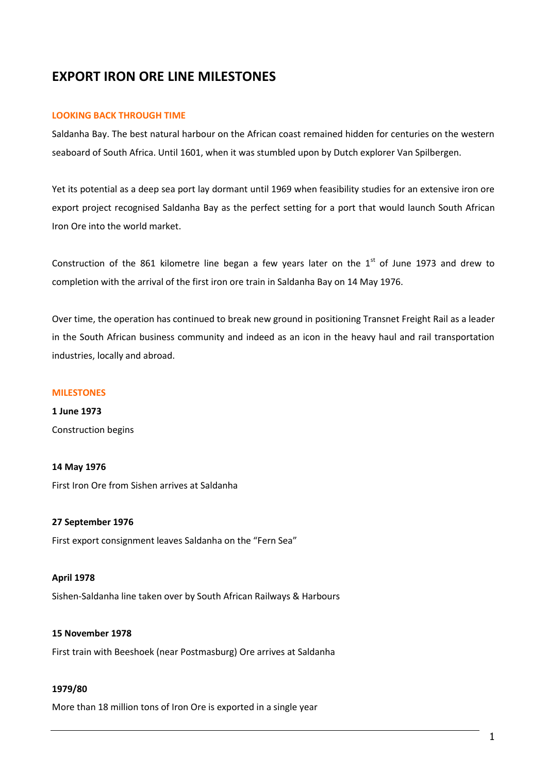# **EXPORT IRON ORE LINE MILESTONES**

## **LOOKING BACK THROUGH TIME**

Saldanha Bay. The best natural harbour on the African coast remained hidden for centuries on the western seaboard of South Africa. Until 1601, when it was stumbled upon by Dutch explorer Van Spilbergen.

Yet its potential as a deep sea port lay dormant until 1969 when feasibility studies for an extensive iron ore export project recognised Saldanha Bay as the perfect setting for a port that would launch South African Iron Ore into the world market.

Construction of the 861 kilometre line began a few years later on the  $1<sup>st</sup>$  of June 1973 and drew to completion with the arrival of the first iron ore train in Saldanha Bay on 14 May 1976.

Over time, the operation has continued to break new ground in positioning Transnet Freight Rail as a leader in the South African business community and indeed as an icon in the heavy haul and rail transportation industries, locally and abroad.

## **MILESTONES**

**1 June 1973** Construction begins

## **14 May 1976**

First Iron Ore from Sishen arrives at Saldanha

## **27 September 1976** First export consignment leaves Saldanha on the "Fern Sea"

## **April 1978**

Sishen-Saldanha line taken over by South African Railways & Harbours

## **15 November 1978**

First train with Beeshoek (near Postmasburg) Ore arrives at Saldanha

#### **1979/80**

More than 18 million tons of Iron Ore is exported in a single year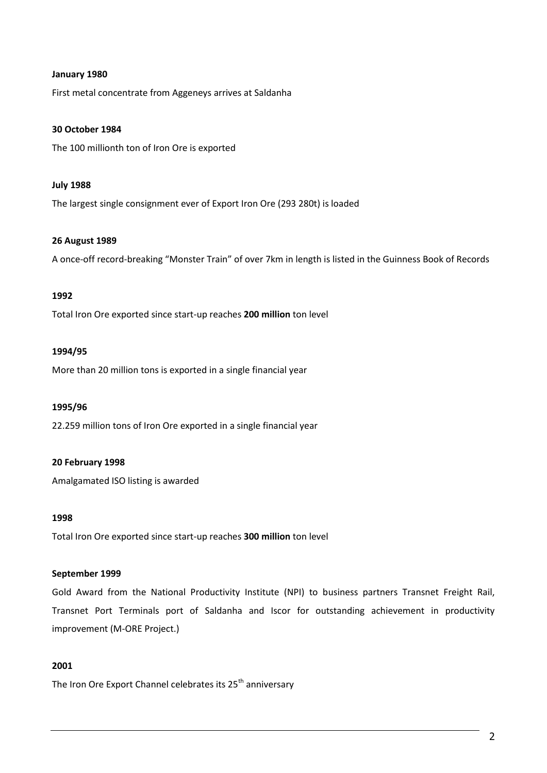## **January 1980**

First metal concentrate from Aggeneys arrives at Saldanha

## **30 October 1984**

The 100 millionth ton of Iron Ore is exported

## **July 1988**

The largest single consignment ever of Export Iron Ore (293 280t) is loaded

## **26 August 1989**

A once-off record-breaking "Monster Train" of over 7km in length is listed in the Guinness Book of Records

## **1992**

Total Iron Ore exported since start-up reaches **200 million** ton level

## **1994/95**

More than 20 million tons is exported in a single financial year

## **1995/96**

22.259 million tons of Iron Ore exported in a single financial year

## **20 February 1998**

Amalgamated ISO listing is awarded

## **1998**

Total Iron Ore exported since start-up reaches **300 million** ton level

## **September 1999**

Gold Award from the National Productivity Institute (NPI) to business partners Transnet Freight Rail, Transnet Port Terminals port of Saldanha and Iscor for outstanding achievement in productivity improvement (M-ORE Project.)

## **2001**

The Iron Ore Export Channel celebrates its 25<sup>th</sup> anniversary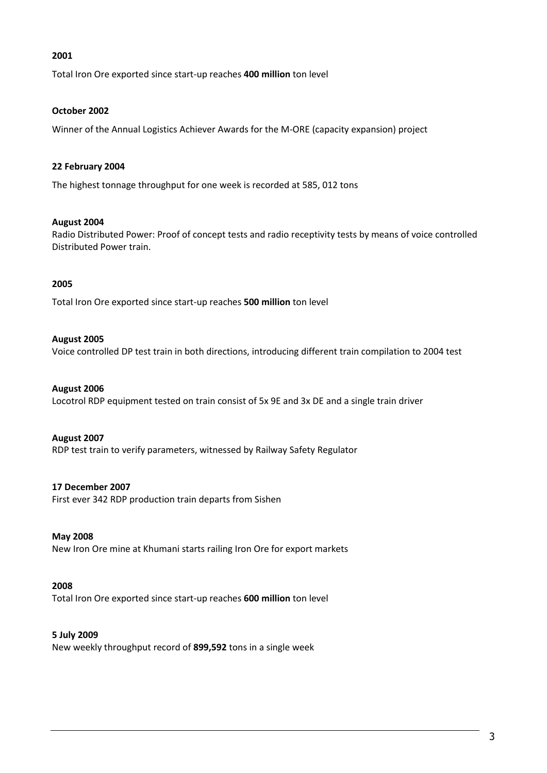## **2001**

Total Iron Ore exported since start-up reaches **400 million** ton level

## **October 2002**

Winner of the Annual Logistics Achiever Awards for the M-ORE (capacity expansion) project

## **22 February 2004**

The highest tonnage throughput for one week is recorded at 585, 012 tons

## **August 2004**

Radio Distributed Power: Proof of concept tests and radio receptivity tests by means of voice controlled Distributed Power train.

## **2005**

Total Iron Ore exported since start-up reaches **500 million** ton level

## **August 2005**

Voice controlled DP test train in both directions, introducing different train compilation to 2004 test

## **August 2006**

Locotrol RDP equipment tested on train consist of 5x 9E and 3x DE and a single train driver

## **August 2007**

RDP test train to verify parameters, witnessed by Railway Safety Regulator

## **17 December 2007**

First ever 342 RDP production train departs from Sishen

#### **May 2008**

New Iron Ore mine at Khumani starts railing Iron Ore for export markets

## **2008**

Total Iron Ore exported since start-up reaches **600 million** ton level

## **5 July 2009**

New weekly throughput record of **899,592** tons in a single week